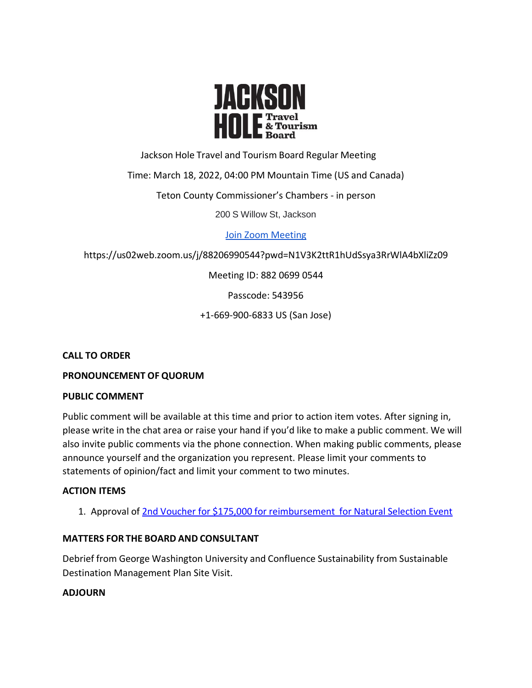

Jackson Hole Travel and Tourism Board Regular Meeting

Time: March 18, 2022, 04:00 PM Mountain Time (US and Canada)

Teton County Commissioner's Chambers - in person

200 S Willow St, Jackson

[Join Zoom Meeting](https://us02web.zoom.us/j/88206990544?pwd=N1V3K2ttR1hUdSsya3RrWlA4bXliZz09)

https://us02web.zoom.us/j/88206990544?pwd=N1V3K2ttR1hUdSsya3RrWlA4bXliZz09

Meeting ID: 882 0699 0544

Passcode: 543956

+1-669-900-6833 US (San Jose)

**CALL TO ORDER**

# **PRONOUNCEMENT OF QUORUM**

# **PUBLIC COMMENT**

Public comment will be available at this time and prior to action item votes. After signing in, please write in the chat area or raise your hand if you'd like to make a public comment. We will also invite public comments via the phone connection. When making public comments, please announce yourself and the organization you represent. Please limit your comments to statements of opinion/fact and limit your comment to two minutes.

# **ACTION ITEMS**

1. Approval of 2nd Voucher for \$175,000 for [reimbursement](https://tetoncountywy.gov/DocumentCenter/View/21615/2022-03-JHTTJPB-Voucher-3052-Summary) for Natural Selection Event

# **MATTERS FOR THE BOARD AND CONSULTANT**

Debrief from George Washington University and Confluence Sustainability from Sustainable Destination Management Plan Site Visit.

# **ADJOURN**